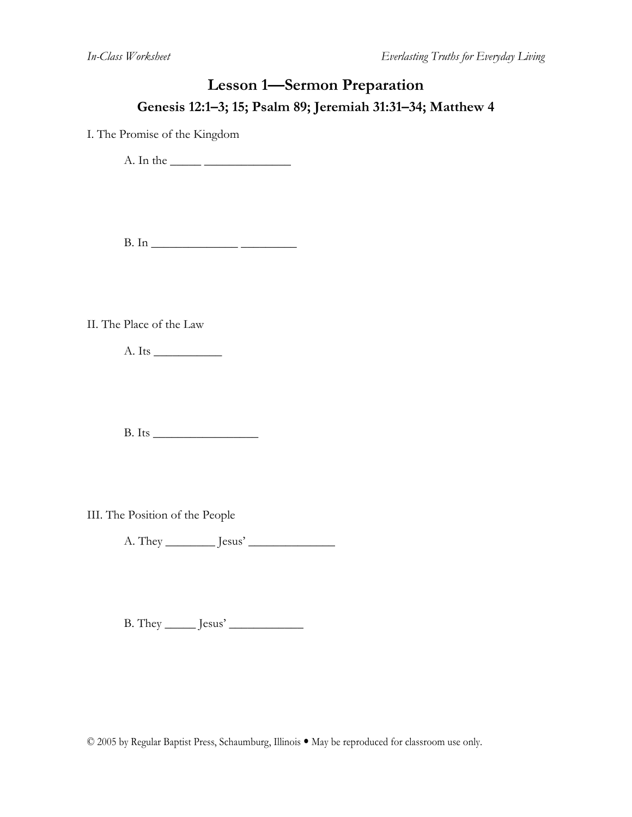### **Lesson 1—Sermon Preparation Genesis 12:1–3; 15; Psalm 89; Jeremiah 31:31–34; Matthew 4**

I. The Promise of the Kingdom

A. In the \_\_\_\_\_ \_\_\_\_\_\_\_\_\_\_\_\_\_\_

B. In \_\_\_\_\_\_\_\_\_\_\_\_\_\_ \_\_\_\_\_\_\_\_\_

II. The Place of the Law

A. Its \_\_\_\_\_\_\_\_\_\_\_

 $B. Its$ 

III. The Position of the People

A. They \_\_\_\_\_\_\_\_ Jesus' \_\_\_\_\_\_\_\_\_\_\_\_\_\_

B. They \_\_\_\_\_ Jesus' \_\_\_\_\_\_\_\_\_\_\_\_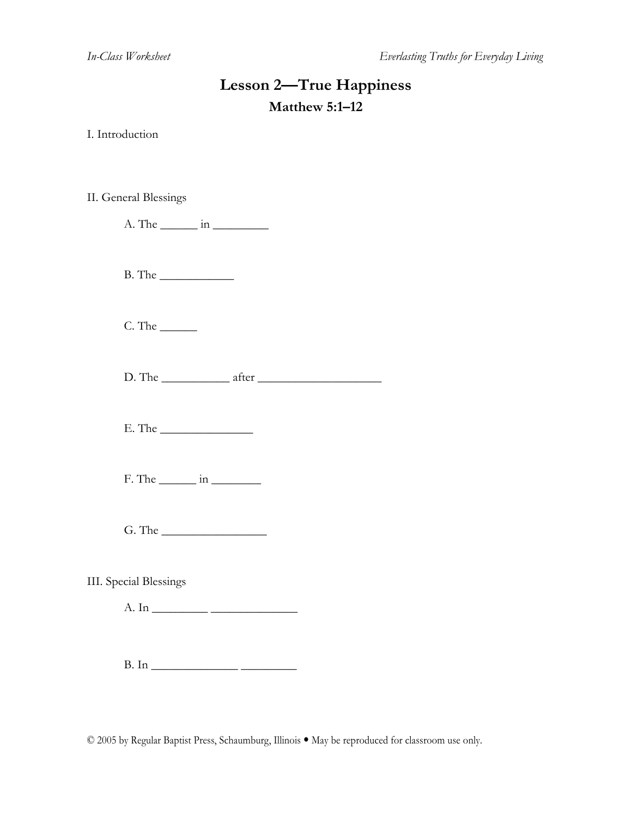### **Lesson 2—True Happiness Matthew 5:1–12**

I. Introduction

II. General Blessings

 $A.$  The  $\_\_\_\_\$ in  $\_\_\_\_\_\_\_\_\_\_\_$ 

B. The \_\_\_\_\_\_\_\_\_\_\_\_

C. The \_\_\_\_\_\_

 $D.$  The  $after$  after  $\qquad \qquad$ 

E. The \_\_\_\_\_\_\_\_\_\_\_\_\_\_\_

 $F.$  The  $\_\_\_\_\$ in  $\_\_\_\_\_\_\_\_\_\_\$ 

 $G.$  The  $\qquad \qquad \qquad$ 

III. Special Blessings

A. In \_\_\_\_\_\_\_\_\_ \_\_\_\_\_\_\_\_\_\_\_\_\_\_

 $B. In$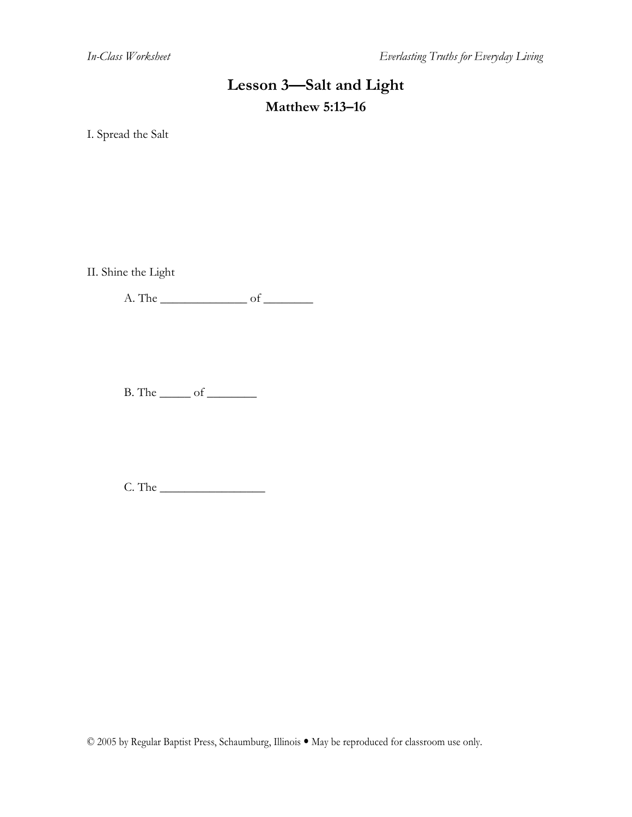# **Lesson 3—Salt and Light Matthew 5:13–16**

I. Spread the Salt

II. Shine the Light

A. The \_\_\_\_\_\_\_\_\_\_\_\_\_\_ of \_\_\_\_\_\_\_\_

 $B.$  The  $\rule{1em}{0.15mm}$  of  $\rule{1em}{0.15mm}$ 

 $C.$  The  $\qquad \qquad$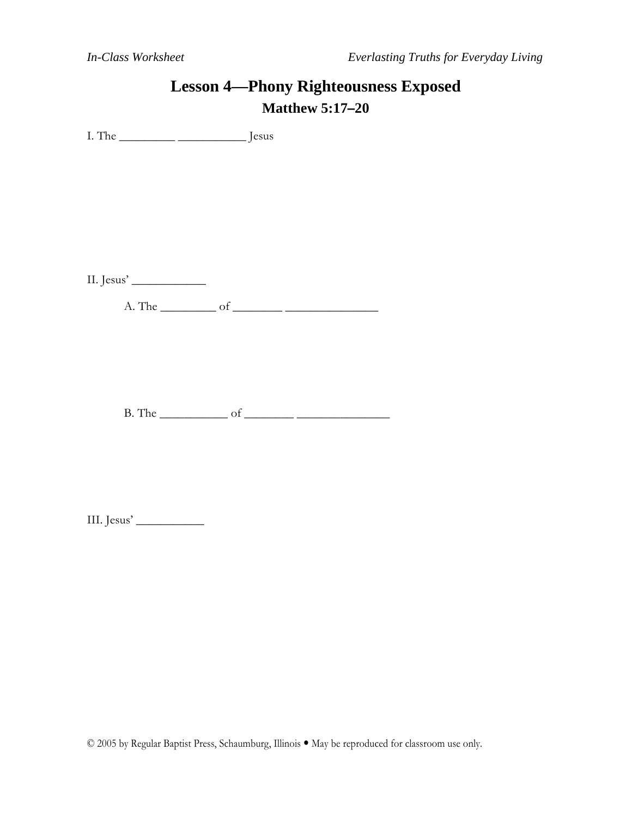### **Lesson 4—Phony Righteousness Exposed Matthew 5:17–20**

I. The \_\_\_\_\_\_\_\_\_ \_\_\_\_\_\_\_\_\_\_\_ Jesus

II. Jesus' \_\_\_\_\_\_\_\_\_\_\_\_

A. The \_\_\_\_\_\_\_\_\_ of \_\_\_\_\_\_\_\_ \_\_\_\_\_\_\_\_\_\_\_\_\_\_\_

B. The \_\_\_\_\_\_\_\_\_\_\_ of \_\_\_\_\_\_\_\_ \_\_\_\_\_\_\_\_\_\_\_\_\_\_\_

III. Jesus' \_\_\_\_\_\_\_\_\_\_\_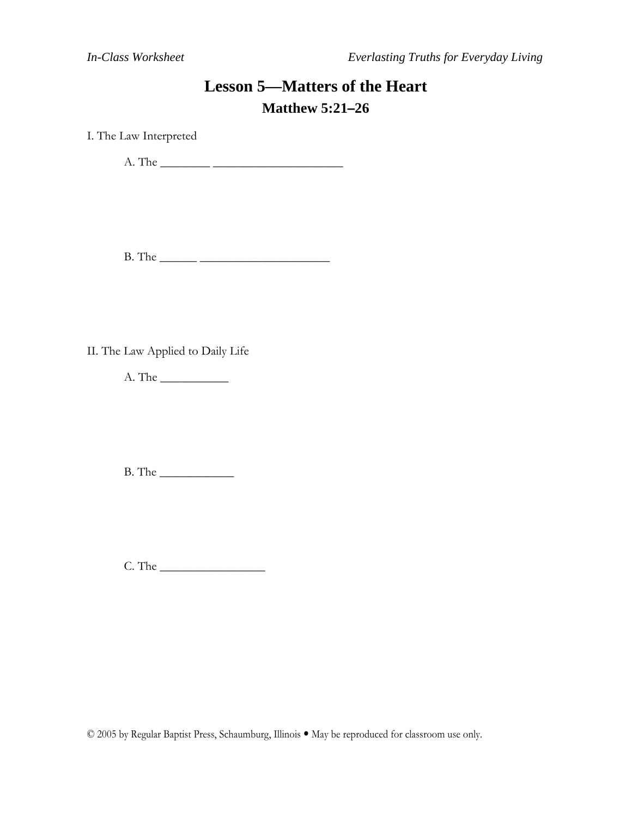# **Lesson 5—Matters of the Heart Matthew 5:21–26**

I. The Law Interpreted

A. The \_\_\_\_\_\_\_\_ \_\_\_\_\_\_\_\_\_\_\_\_\_\_\_\_\_\_\_\_\_

B. The \_\_\_\_\_\_ \_\_\_\_\_\_\_\_\_\_\_\_\_\_\_\_\_\_\_\_\_

II. The Law Applied to Daily Life

A. The \_\_\_\_\_\_\_\_\_\_\_

B. The \_\_\_\_\_\_\_\_\_\_\_\_

C. The \_\_\_\_\_\_\_\_\_\_\_\_\_\_\_\_\_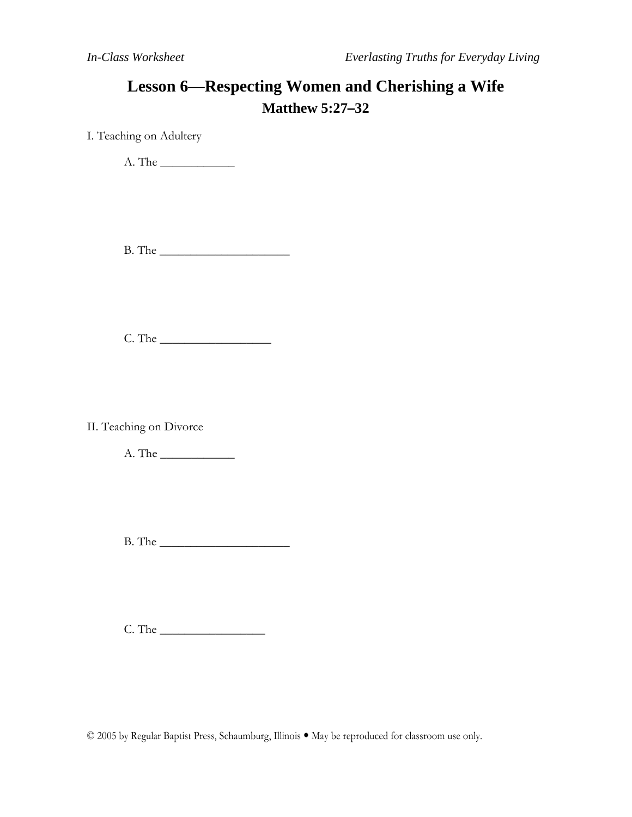## **Lesson 6—Respecting Women and Cherishing a Wife Matthew 5:27–32**

I. Teaching on Adultery

A. The \_\_\_\_\_\_\_\_\_\_\_\_

B. The \_\_\_\_\_\_\_\_\_\_\_\_\_\_\_\_\_\_\_\_\_

C. The \_\_\_\_\_\_\_\_\_\_\_\_\_\_\_\_\_\_

II. Teaching on Divorce

A. The \_\_\_\_\_\_\_\_\_\_\_\_

B. The \_\_\_\_\_\_\_\_\_\_\_\_\_\_\_\_\_\_\_\_\_

C. The \_\_\_\_\_\_\_\_\_\_\_\_\_\_\_\_\_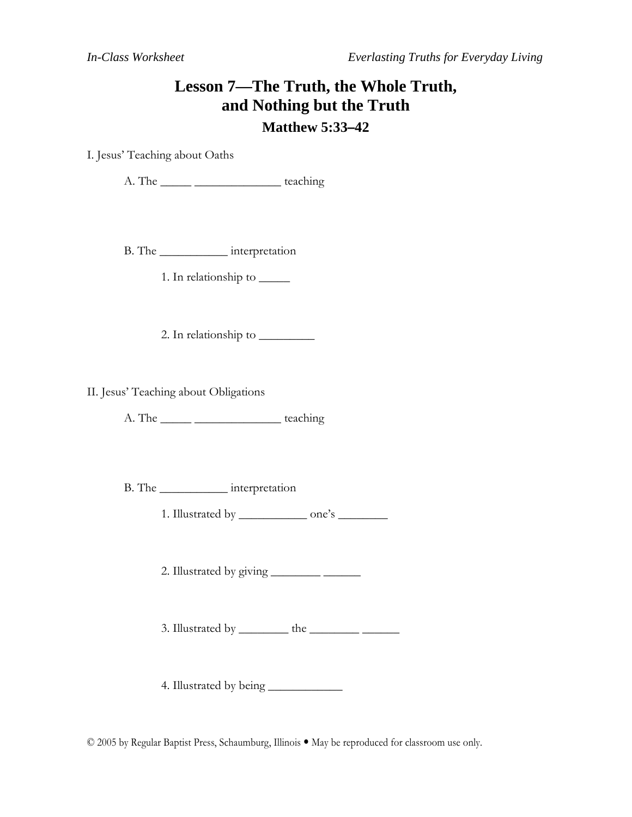### **Lesson 7—The Truth, the Whole Truth, and Nothing but the Truth Matthew 5:33–42**

I. Jesus' Teaching about Oaths

A. The \_\_\_\_\_ \_\_\_\_\_\_\_\_\_\_\_\_\_\_ teaching

B. The \_\_\_\_\_\_\_\_\_\_\_ interpretation

1. In relationship to \_\_\_\_\_

2. In relationship to \_\_\_\_\_\_\_\_\_

II. Jesus' Teaching about Obligations

A. The \_\_\_\_\_ \_\_\_\_\_\_\_\_\_\_\_\_\_\_ teaching

B. The \_\_\_\_\_\_\_\_\_\_\_ interpretation

1. Illustrated by \_\_\_\_\_\_\_\_\_\_\_\_\_\_ one's \_\_\_\_\_\_\_\_\_\_

2. Illustrated by giving \_\_\_\_\_\_\_\_ \_\_\_\_\_\_

3. Illustrated by \_\_\_\_\_\_\_\_ the \_\_\_\_\_\_\_\_ \_\_\_\_\_\_

4. Illustrated by being \_\_\_\_\_\_\_\_\_\_\_\_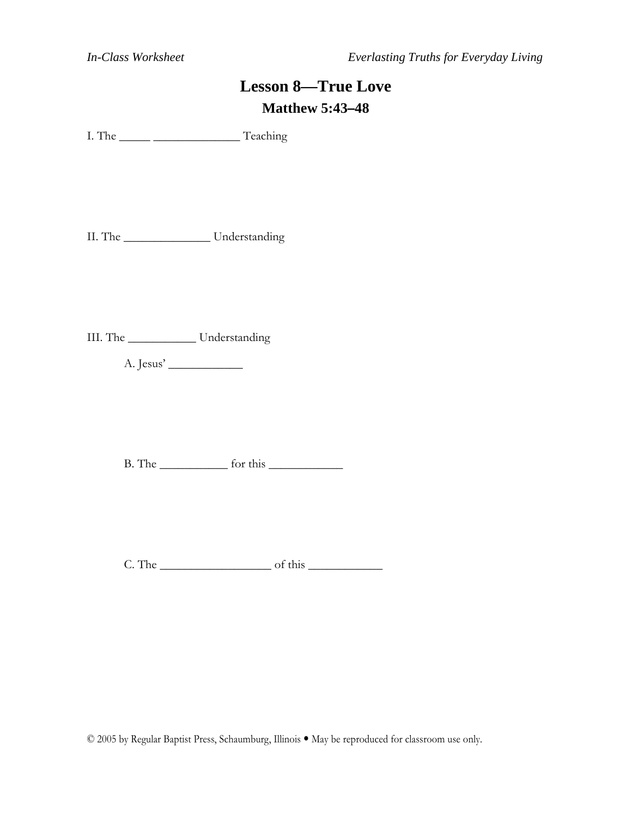# **Lesson 8—True Love Matthew 5:43–48**

I. The \_\_\_\_\_ \_\_\_\_\_\_\_\_\_\_\_\_\_\_ Teaching

II. The \_\_\_\_\_\_\_\_\_\_\_\_\_\_ Understanding

III. The \_\_\_\_\_\_\_\_\_\_\_ Understanding

A. Jesus' \_\_\_\_\_\_\_\_\_\_\_\_

B. The \_\_\_\_\_\_\_\_\_\_\_ for this \_\_\_\_\_\_\_\_\_\_\_\_

C. The \_\_\_\_\_\_\_\_\_\_\_\_\_\_\_\_\_\_ of this \_\_\_\_\_\_\_\_\_\_\_\_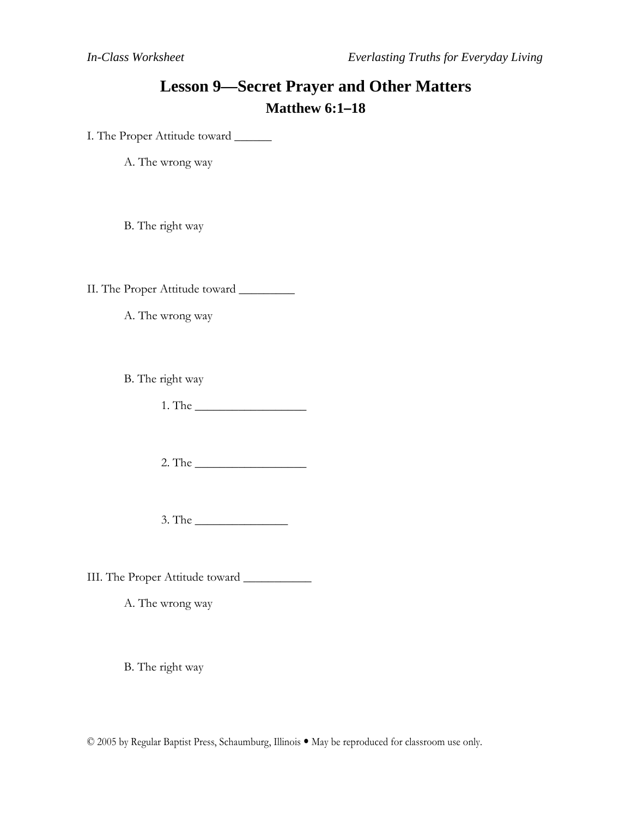## **Lesson 9—Secret Prayer and Other Matters Matthew 6:1–18**

I. The Proper Attitude toward \_\_\_\_\_\_

A. The wrong way

B. The right way

II. The Proper Attitude toward \_\_\_\_\_\_\_\_\_

A. The wrong way

B. The right way

1. The \_\_\_\_\_\_\_\_\_\_\_\_\_\_\_\_\_\_

2. The \_\_\_\_\_\_\_\_\_\_\_\_\_\_\_\_\_\_

3. The \_\_\_\_\_\_\_\_\_\_\_\_\_\_\_

III. The Proper Attitude toward \_\_\_\_\_\_\_\_\_\_\_

A. The wrong way

B. The right way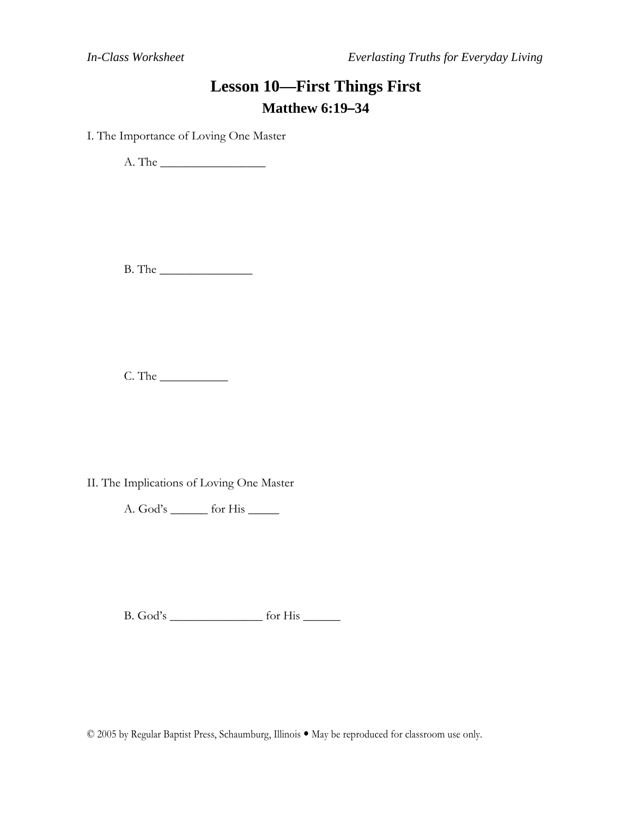## **Lesson 10—First Things First Matthew 6:19–34**

I. The Importance of Loving One Master

A. The \_\_\_\_\_\_\_\_\_\_\_\_\_\_\_\_\_

B. The \_\_\_\_\_\_\_\_\_\_\_\_\_\_\_

C. The \_\_\_\_\_\_\_\_\_\_\_

II. The Implications of Loving One Master

A. God's \_\_\_\_\_\_ for His \_\_\_\_\_

B. God's \_\_\_\_\_\_\_\_\_\_\_\_\_\_\_ for His \_\_\_\_\_\_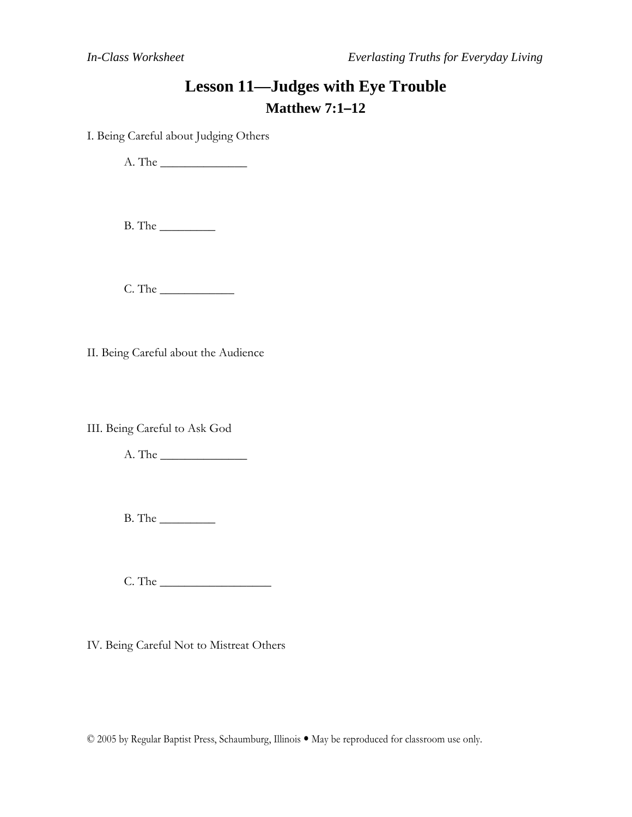# **Lesson 11—Judges with Eye Trouble Matthew 7:1–12**

I. Being Careful about Judging Others

A. The \_\_\_\_\_\_\_\_\_\_\_\_\_\_

B. The \_\_\_\_\_\_\_\_\_

C. The \_\_\_\_\_\_\_\_\_\_\_\_

II. Being Careful about the Audience

III. Being Careful to Ask God

A. The \_\_\_\_\_\_\_\_\_\_\_\_\_\_

B. The \_\_\_\_\_\_\_\_\_

C. The \_\_\_\_\_\_\_\_\_\_\_\_\_\_\_\_\_\_

IV. Being Careful Not to Mistreat Others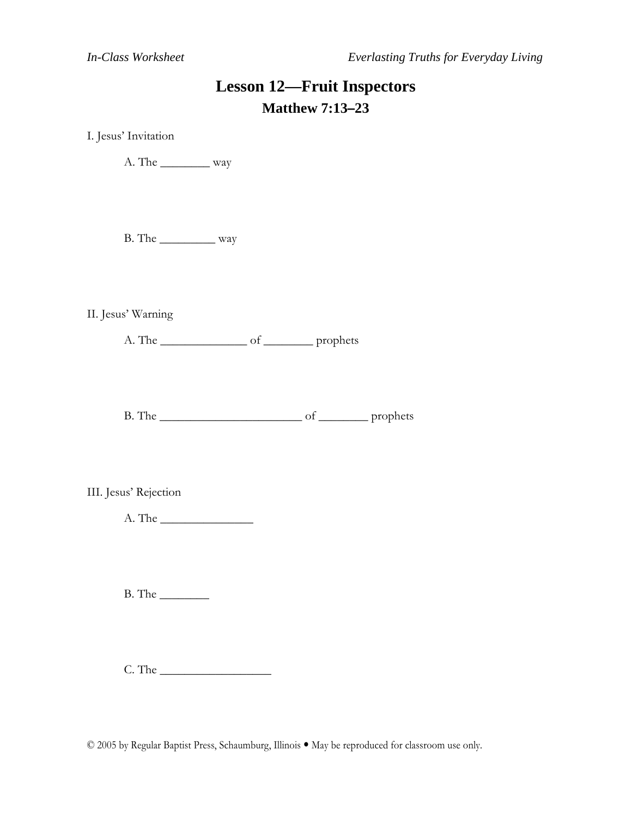# **Lesson 12—Fruit Inspectors Matthew 7:13–23**

I. Jesus' Invitation

A. The \_\_\_\_\_\_\_\_ way

B. The \_\_\_\_\_\_\_\_\_ way

II. Jesus' Warning

A. The \_\_\_\_\_\_\_\_\_\_\_\_\_\_ of \_\_\_\_\_\_\_\_ prophets

B. The \_\_\_\_\_\_\_\_\_\_\_\_\_\_\_\_\_\_\_\_\_\_\_ of \_\_\_\_\_\_\_\_ prophets

III. Jesus' Rejection

A. The \_\_\_\_\_\_\_\_\_\_\_\_\_\_\_

B. The \_\_\_\_\_\_\_\_

C. The \_\_\_\_\_\_\_\_\_\_\_\_\_\_\_\_\_\_